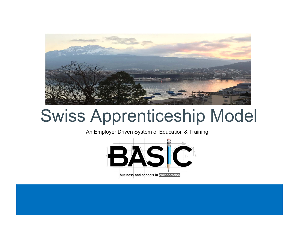

# Swiss Apprenticeship Model

An Employer Driven System of Education & Training

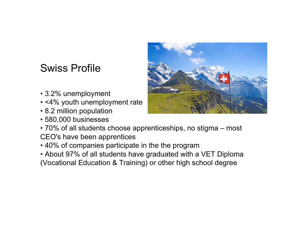## Swiss Profile

- 3.2% unemployment
- <4% youth unemployment rate
- 8.2 million population
- 580,000 businesses
- 70% of all students choose apprenticeships, no stigma most CEO's have been apprentices
- 40% of companies participate in the the program
- About 97% of all students have graduated with a VET Diploma (Vocational Education & Training) or other high school degree

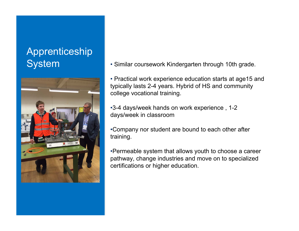# Apprenticeship



System • Similar coursework Kindergarten through 10th grade.

• Practical work experience education starts at age15 and typically lasts 2-4 years. Hybrid of HS and community college vocational training.

•3-4 days/week hands on work experience , 1-2 days/week in classroom

•Company nor student are bound to each other after training.

•Permeable system that allows youth to choose a career pathway, change industries and move on to specialized certifications or higher education.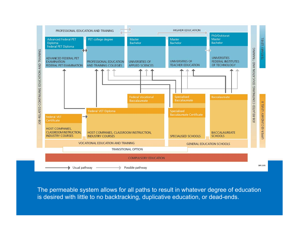

The permeable system allows for all paths to result in whatever degree of education is desired with little to no backtracking, duplicative education, or dead-ends.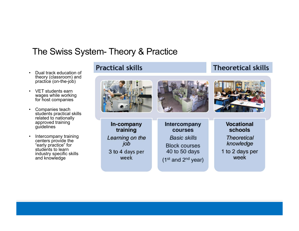### The Swiss System- Theory & Practice

- • Dual track education of theory (classroom) and practice (on-the-job)
- VET students earn wages while working for host companies
- • Companies teach students practical skills related to nationally approved training guidelines
- • Intercompany training centers provide the "early practice" for students to learn industry specific skills and knowledge





**Theoretical skills** 

In-company training Learning on the job 3 to 4 days per week

Intercompany **courses Basic skills Block courses** 40 to 50 days

 $(1<sup>st</sup>$  and  $2<sup>nd</sup>$  year)

#### **Vocational schools**

**Theoretical** knowledge

1 to 2 days per week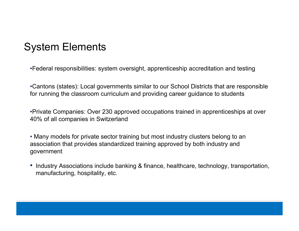## System Elements

•Federal responsibilities: system oversight, apprenticeship accreditation and testing

•Cantons (states): Local governments similar to our School Districts that are responsible for running the classroom curriculum and providing career guidance to students

•Private Companies: Over 230 approved occupations trained in apprenticeships at over 40% of all companies in Switzerland

• Many models for private sector training but most industry clusters belong to an association that provides standardized training approved by both industry and government

• Industry Associations include banking & finance, healthcare, technology, transportation, manufacturing, hospitality, etc.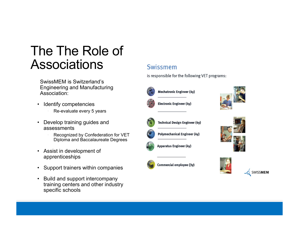## The The Role of Associations

SwissMEM is Switzerland's Engineering and Manufacturing Association:

- Identify competencies
	- Re-evaluate every 5 years
- Develop training guides and assessments
	- Recognized by Confederation for VET Diploma and Baccalaureate Degrees
- Assist in development of apprenticeships
- $\bullet$ Support trainers within companies
- Build and support intercompany training centers and other industry specific schools

#### Swissmem

is responsible for the following VET programs:



**Mechatronic Engineer (4y)** 











Electronic Engineer (4y)

**Technical Design Engineer (4y)** 

**Polymechanical Engineer (4y)** 

Apparatus Engineer (4y)

Commercial employee (3y)

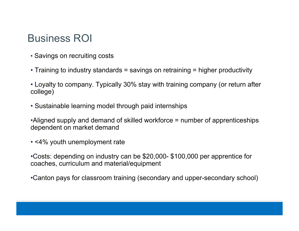## Business ROI

- Savings on recruiting costs
- Training to industry standards = savings on retraining = higher productivity
- Loyalty to company. Typically 30% stay with training company (or return after college)
- Sustainable learning model through paid internships

•Aligned supply and demand of skilled workforce = number of apprenticeships dependent on market demand

• <4% youth unemployment rate

•Costs: depending on industry can be \$20,000- \$100,000 per apprentice for coaches, curriculum and material/equipment

•Canton pays for classroom training (secondary and upper-secondary school)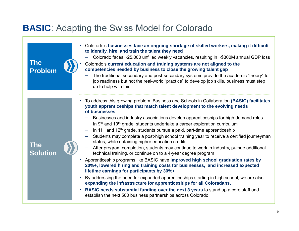## **BASIC**: Adapting the Swiss Model for Colorado

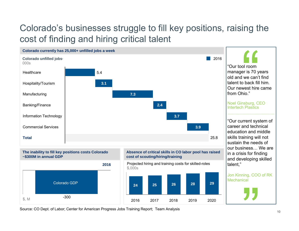## Colorado's businesses struggle to fill key positions, raising the cost of finding and hiring critical talent



Source: CO Dept. of Labor; Center for American Progress Jobs Training Report; Team Analysis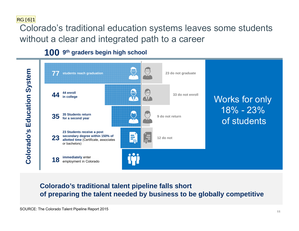RG [6]1

Colorado's traditional education systems leaves some students without a clear and integrated path to a career

**1009th graders begin high school**



#### **Colorado's traditional talent pipeline falls short of preparing the talent needed by business to be globally competitive**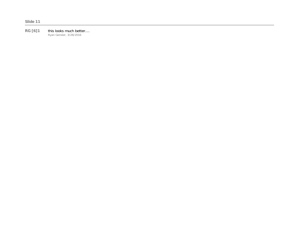**RG [6]1** this looks much better.... Ryan Gensler, 3/28/2016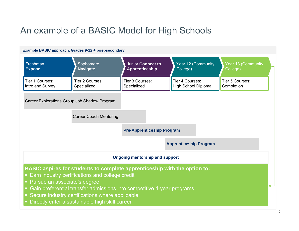## An example of a BASIC Model for High Schools

#### **Example BASIC approach, Grades 9-12 + post-secondary**

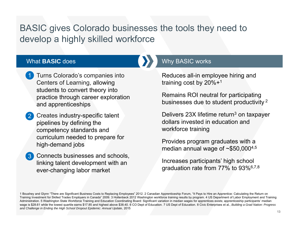## BASIC gives Colorado businesses the tools they need to develop a highly skilled workforce

#### What **BASIC** does

- Turns Colorado's companies into Centers of Learning, allowing students to convert theory into practice through career exploration and apprenticeships 1
- **Creates industry-specific talent** pipelines by defining the competency standards and curriculum needed to prepare for high-demand jobs 2
- **3** Connects businesses and schools, linking talent development with an ever-changing labor market

#### Why BASIC works

Reduces all-in employee hiring and training cost by 20%+1

Remains ROI neutral for participating businesses due to student productivity  $^2$ 

Delivers 23X lifetime return 3 on taxpayer dollars invested in education and workforce training

Provides program graduates with a median annual wage of  $\sim $50,000^{4,5}$ 

Increases participants' high school graduation rate from 77% to 93%6,7,8

<sup>1</sup> Boushey and Glynn "There are Significant Business Costs to Replacing Employees" 2012. 2 Canadian Apprenticeship Forum, "It Pays to Hire an Apprentice: Calculating the Return on Training Investment for Skilled Trades Employers in Canada" 2009. 3 Hollenbeck 2012 Washington workforce training results by program. 4 US Department of Labor Employment and Training Administration. 5 Washington State Workforce Training and Education Coordinating Board: Significant variation in median wages for apprentices exists; apprenticeship participants' median wage is \$28.61 while the lowest quartile earns \$17.85 and highest above \$38.40. 6 CO Dept of Education. 7 US Dept of Education. 8 Civic Enterprises et al., *Building a Grad Nation: Progress and Challenge in Ending the High School Dropout Epidemic: Annual Update*, 2015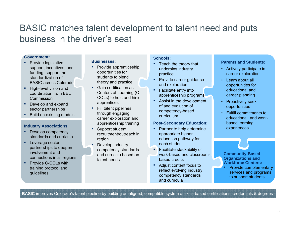## BASIC matches talent development to talent need and puts business in the driver's seat

#### **Government:**

- Provide legislative support, incentives, and funding; support the standardization of BASIC across Colorado
- **E** High-level vision and coordination from BEL Commission
- Develop and expand sector partnerships
- Build on existing models

#### **Industry Associations:**

- Develop competency standards and curricula
- Leverage sector partnerships to deepen involvement and connections in all regions
- Provide C-COLs with training protocol and guidelines

#### **Businesses:**

- Provide apprenticeship opportunities for students to blend theory and practice
- Gain certification as Centers of Learning (C-COLs) to host and hire apprentices
- Fill talent pipelines through engaging career exploration and apprenticeship training
- Support student recruitment/outreach in region
- Develop industry competency standards and curricula based on talent needs

#### **Schools:**

- Teach the theory that underpins industry practice
- ▪ Provide career guidance and exploration
- **EXEC** Facilitate entry into apprenticeship programs
- **E** Assist in the development of and evolution of competency-based curriculum

#### **Post-Secondary Education:**

- ▪ Partner to help determine appropriate higher education pathway for each student
- Facilitate stackability of work-based and classroombased credits
- Adjust content focus to reflect evolving industry competency standards and curricula

#### **Parents and Students:**

- Actively participate in career exploration
- Learn about all opportunities for educational and career planning
- Proactively seek opportunities
- Fulfill commitments to educational, and workbased learning experiences

**Community-Based Organizations and Workforce Centers:**  Provide complementary services and programs

to support students

**BASIC** improves Colorado's talent pipeline by building an aligned, compatible system of skills-based certifications, credentials & degrees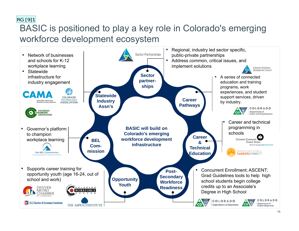#### RG [9]1

## BASIC is positioned to play a key role in Colorado's emerging workforce development ecosystem

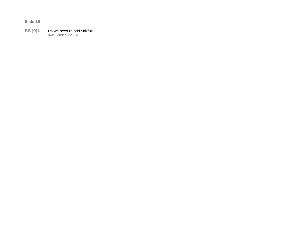#### **RG [9]1** Do we need to add Skillful? Ryan Gensler, 3/28/2016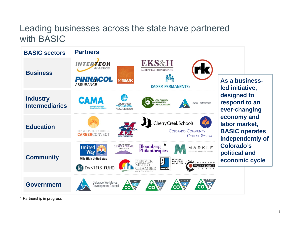## Leading businesses across the state have partnered with BASIC



1 Partnership in progress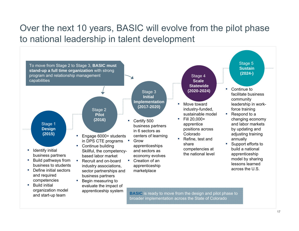## Over the next 10 years, BASIC will evolve from the pilot phase to national leadership in talent development